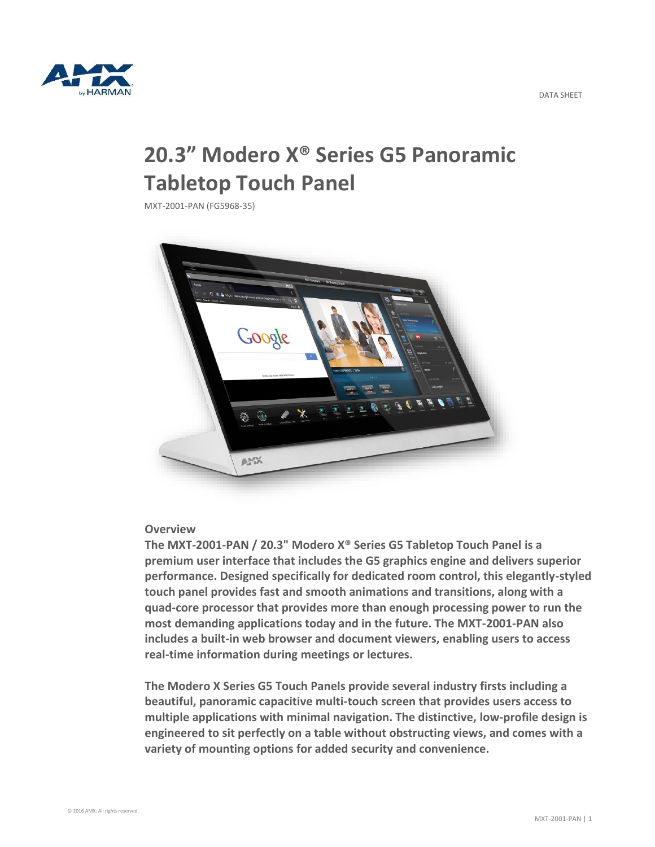

# **20.3" Modero X® Series G5 Panoramic Tabletop Touch Panel**

MXT-2001-PAN (FG5968-35)



## **Overview**

**The MXT-2001-PAN / 20.3" Modero X® Series G5 Tabletop Touch Panel is a premium user interface that includes the G5 graphics engine and delivers superior performance. Designed specifically for dedicated room control, this elegantly-styled touch panel provides fast and smooth animations and transitions, along with a quad-core processor that provides more than enough processing power to run the most demanding applications today and in the future. The MXT-2001-PAN also includes a built-in web browser and document viewers, enabling users to access real-time information during meetings or lectures.**

**The Modero X Series G5 Touch Panels provide several industry firsts including a beautiful, panoramic capacitive multi-touch screen that provides users access to multiple applications with minimal navigation. The distinctive, low-profile design is engineered to sit perfectly on a table without obstructing views, and comes with a variety of mounting options for added security and convenience.**

DATA SHEET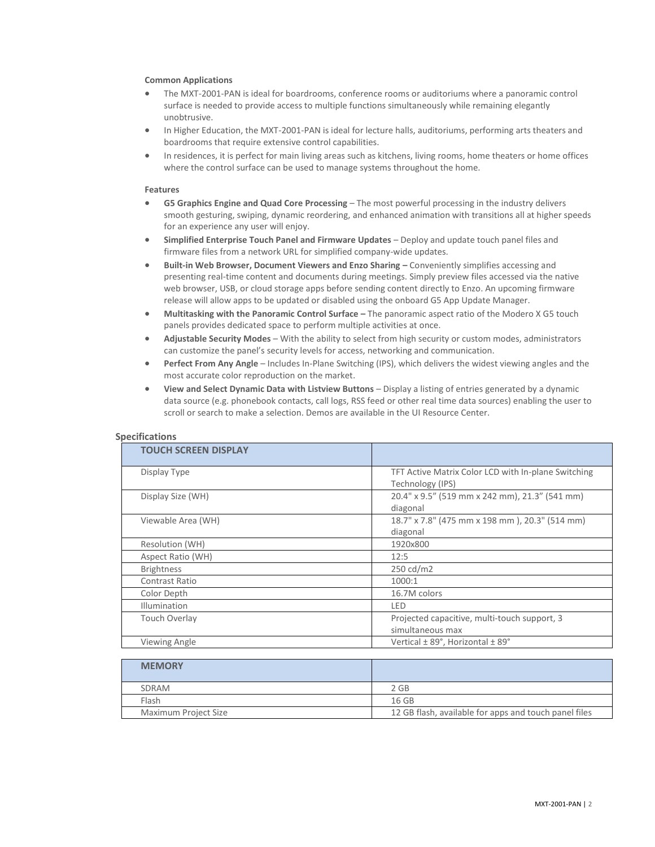#### **Common Applications**

- The MXT-2001-PAN is ideal for boardrooms, conference rooms or auditoriums where a panoramic control surface is needed to provide access to multiple functions simultaneously while remaining elegantly unobtrusive.
- In Higher Education, the MXT-2001-PAN is ideal for lecture halls, auditoriums, performing arts theaters and boardrooms that require extensive control capabilities.
- In residences, it is perfect for main living areas such as kitchens, living rooms, home theaters or home offices where the control surface can be used to manage systems throughout the home.

#### **Features**

- **G5 Graphics Engine and Quad Core Processing** The most powerful processing in the industry delivers smooth gesturing, swiping, dynamic reordering, and enhanced animation with transitions all at higher speeds for an experience any user will enjoy.
- **Simplified Enterprise Touch Panel and Firmware Updates**  Deploy and update touch panel files and firmware files from a network URL for simplified company-wide updates.
- **Built-in Web Browser, Document Viewers and Enzo Sharing –** Conveniently simplifies accessing and presenting real-time content and documents during meetings. Simply preview files accessed via the native web browser, USB, or cloud storage apps before sending content directly to Enzo. An upcoming firmware release will allow apps to be updated or disabled using the onboard G5 App Update Manager.
- **Multitasking with the Panoramic Control Surface –** The panoramic aspect ratio of the Modero X G5 touch panels provides dedicated space to perform multiple activities at once.
- **Adjustable Security Modes** With the ability to select from high security or custom modes, administrators can customize the panel's security levels for access, networking and communication.
- **Perfect From Any Angle** Includes In-Plane Switching (IPS), which delivers the widest viewing angles and the most accurate color reproduction on the market.
- **View and Select Dynamic Data with Listview Buttons** Display a listing of entries generated by a dynamic data source (e.g. phonebook contacts, call logs, RSS feed or other real time data sources) enabling the user to scroll or search to make a selection. Demos are available in the UI Resource Center.

| <b>TOUCH SCREEN DISPLAY</b> |                                                     |
|-----------------------------|-----------------------------------------------------|
| Display Type                | TFT Active Matrix Color LCD with In-plane Switching |
|                             | Technology (IPS)                                    |
| Display Size (WH)           | 20.4" x 9.5" (519 mm x 242 mm), 21.3" (541 mm)      |
|                             | diagonal                                            |
| Viewable Area (WH)          | 18.7" x 7.8" (475 mm x 198 mm), 20.3" (514 mm)      |
|                             | diagonal                                            |
| Resolution (WH)             | 1920x800                                            |
| Aspect Ratio (WH)           | 12:5                                                |
| <b>Brightness</b>           | 250 cd/m2                                           |
| Contrast Ratio              | 1000:1                                              |
| Color Depth                 | 16.7M colors                                        |
| <b>Illumination</b>         | LED                                                 |
| <b>Touch Overlay</b>        | Projected capacitive, multi-touch support, 3        |
|                             | simultaneous max                                    |
| Viewing Angle               | Vertical ± 89°, Horizontal ± 89°                    |

### **Specifications**

| <b>MEMORY</b>        |                                                       |
|----------------------|-------------------------------------------------------|
| SDRAM                | $2$ GB                                                |
| Flash                | 16 GB                                                 |
| Maximum Project Size | 12 GB flash, available for apps and touch panel files |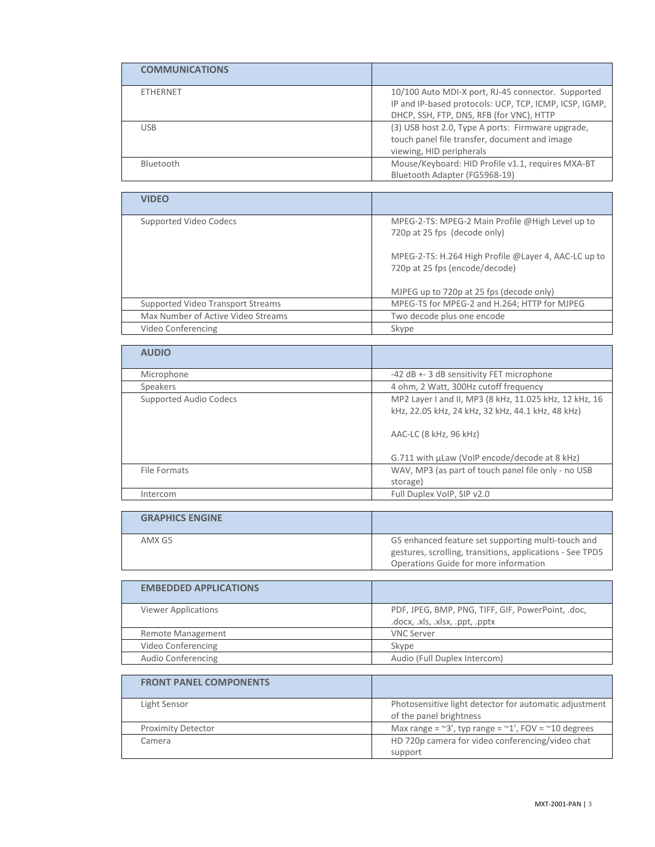| <b>COMMUNICATIONS</b> |                                                                                                                                                          |
|-----------------------|----------------------------------------------------------------------------------------------------------------------------------------------------------|
| <b>ETHERNET</b>       | 10/100 Auto MDI-X port, RJ-45 connector. Supported<br>IP and IP-based protocols: UCP, TCP, ICMP, ICSP, IGMP,<br>DHCP, SSH, FTP, DNS, RFB (for VNC), HTTP |
| <b>USB</b>            | (3) USB host 2.0, Type A ports: Firmware upgrade,<br>touch panel file transfer, document and image<br>viewing, HID peripherals                           |
| Bluetooth             | Mouse/Keyboard: HID Profile v1.1, requires MXA-BT<br>Bluetooth Adapter (FG5968-19)                                                                       |

| <b>VIDEO</b>                       |                                                                                        |
|------------------------------------|----------------------------------------------------------------------------------------|
| Supported Video Codecs             | MPEG-2-TS: MPEG-2 Main Profile @High Level up to<br>720p at 25 fps (decode only)       |
|                                    | MPEG-2-TS: H.264 High Profile @Layer 4, AAC-LC up to<br>720p at 25 fps (encode/decode) |
|                                    | MJPEG up to 720p at 25 fps (decode only)                                               |
| Supported Video Transport Streams  | MPEG-TS for MPEG-2 and H.264; HTTP for MJPEG                                           |
| Max Number of Active Video Streams | Two decode plus one encode                                                             |
| Video Conferencing                 | Skype                                                                                  |

| <b>AUDIO</b>           |                                                                                                                                       |
|------------------------|---------------------------------------------------------------------------------------------------------------------------------------|
| Microphone             | -42 dB +- 3 dB sensitivity FET microphone                                                                                             |
| Speakers               | 4 ohm, 2 Watt, 300Hz cutoff frequency                                                                                                 |
| Supported Audio Codecs | MP2 Layer I and II, MP3 (8 kHz, 11.025 kHz, 12 kHz, 16<br>kHz, 22.05 kHz, 24 kHz, 32 kHz, 44.1 kHz, 48 kHz)<br>AAC-LC (8 kHz, 96 kHz) |
|                        | G.711 with µLaw (VoIP encode/decode at 8 kHz)                                                                                         |
| File Formats           | WAV, MP3 (as part of touch panel file only - no USB                                                                                   |
|                        | storage)                                                                                                                              |
| Intercom               | Full Duplex VoIP, SIP v2.0                                                                                                            |

| <b>GRAPHICS ENGINE</b> |                                                                                                                                                          |
|------------------------|----------------------------------------------------------------------------------------------------------------------------------------------------------|
| AMX G5                 | G5 enhanced feature set supporting multi-touch and<br>gestures, scrolling, transitions, applications - See TPD5<br>Operations Guide for more information |

| <b>EMBEDDED APPLICATIONS</b> |                                                                                      |
|------------------------------|--------------------------------------------------------------------------------------|
| <b>Viewer Applications</b>   | PDF, JPEG, BMP, PNG, TIFF, GIF, PowerPoint, .doc,<br>.docx, .xls, .xlsx, .ppt, .pptx |
| Remote Management            | <b>VNC Server</b>                                                                    |
| Video Conferencing           | Skype                                                                                |
| Audio Conferencing           | Audio (Full Duplex Intercom)                                                         |

| <b>FRONT PANEL COMPONENTS</b> |                                                                                   |
|-------------------------------|-----------------------------------------------------------------------------------|
| Light Sensor                  | Photosensitive light detector for automatic adjustment<br>of the panel brightness |
| <b>Proximity Detector</b>     | Max range = $\approx$ 3', typ range = $\approx$ 1', FOV = $\approx$ 10 degrees    |
| Camera                        | HD 720p camera for video conferencing/video chat<br>support                       |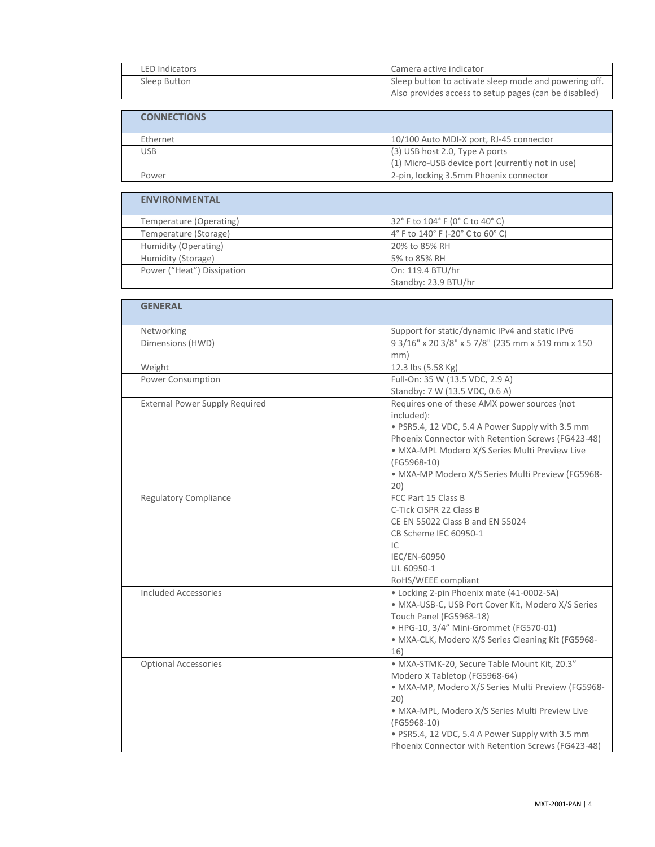| LED Indicators | Camera active indicator                               |
|----------------|-------------------------------------------------------|
| Sleep Button   | Sleep button to activate sleep mode and powering off. |
|                | Also provides access to setup pages (can be disabled) |

| <b>CONNECTIONS</b> |                                                  |
|--------------------|--------------------------------------------------|
| Ethernet           | 10/100 Auto MDI-X port, RJ-45 connector          |
| USB.               | (3) USB host 2.0, Type A ports                   |
|                    | (1) Micro-USB device port (currently not in use) |
| Power              | 2-pin, locking 3.5mm Phoenix connector           |
|                    |                                                  |

| <b>ENVIRONMENTAL</b>       |                                  |
|----------------------------|----------------------------------|
| Temperature (Operating)    | 32° F to 104° F (0° C to 40° C)  |
| Temperature (Storage)      | 4° F to 140° F (-20° C to 60° C) |
| Humidity (Operating)       | 20% to 85% RH                    |
| Humidity (Storage)         | 5% to 85% RH                     |
| Power ("Heat") Dissipation | On: 119.4 BTU/hr                 |
|                            | Standby: 23.9 BTU/hr             |

| <b>GENERAL</b>                        |                                                                                                                                                                                                                                                                                                                        |
|---------------------------------------|------------------------------------------------------------------------------------------------------------------------------------------------------------------------------------------------------------------------------------------------------------------------------------------------------------------------|
| Networking                            | Support for static/dynamic IPv4 and static IPv6                                                                                                                                                                                                                                                                        |
| Dimensions (HWD)                      | 9 3/16" x 20 3/8" x 5 7/8" (235 mm x 519 mm x 150<br>mm)                                                                                                                                                                                                                                                               |
| Weight                                | 12.3 lbs (5.58 Kg)                                                                                                                                                                                                                                                                                                     |
| Power Consumption                     | Full-On: 35 W (13.5 VDC, 2.9 A)<br>Standby: 7 W (13.5 VDC, 0.6 A)                                                                                                                                                                                                                                                      |
| <b>External Power Supply Required</b> | Requires one of these AMX power sources (not<br>included):<br>· PSR5.4, 12 VDC, 5.4 A Power Supply with 3.5 mm<br>Phoenix Connector with Retention Screws (FG423-48)<br>· MXA-MPL Modero X/S Series Multi Preview Live<br>(FG5968-10)<br>· MXA-MP Modero X/S Series Multi Preview (FG5968-<br>20)                      |
| <b>Regulatory Compliance</b>          | FCC Part 15 Class B<br>C-Tick CISPR 22 Class B<br>CE EN 55022 Class B and EN 55024<br>CB Scheme IEC 60950-1<br>IC<br>IEC/EN-60950<br>UL 60950-1<br>RoHS/WEEE compliant                                                                                                                                                 |
| Included Accessories                  | • Locking 2-pin Phoenix mate (41-0002-SA)<br>· MXA-USB-C, USB Port Cover Kit, Modero X/S Series<br>Touch Panel (FG5968-18)<br>· HPG-10, 3/4" Mini-Grommet (FG570-01)<br>· MXA-CLK, Modero X/S Series Cleaning Kit (FG5968-<br>16)                                                                                      |
| <b>Optional Accessories</b>           | · MXA-STMK-20, Secure Table Mount Kit, 20.3"<br>Modero X Tabletop (FG5968-64)<br>· MXA-MP, Modero X/S Series Multi Preview (FG5968-<br>20)<br>· MXA-MPL, Modero X/S Series Multi Preview Live<br>(FG5968-10)<br>· PSR5.4, 12 VDC, 5.4 A Power Supply with 3.5 mm<br>Phoenix Connector with Retention Screws (FG423-48) |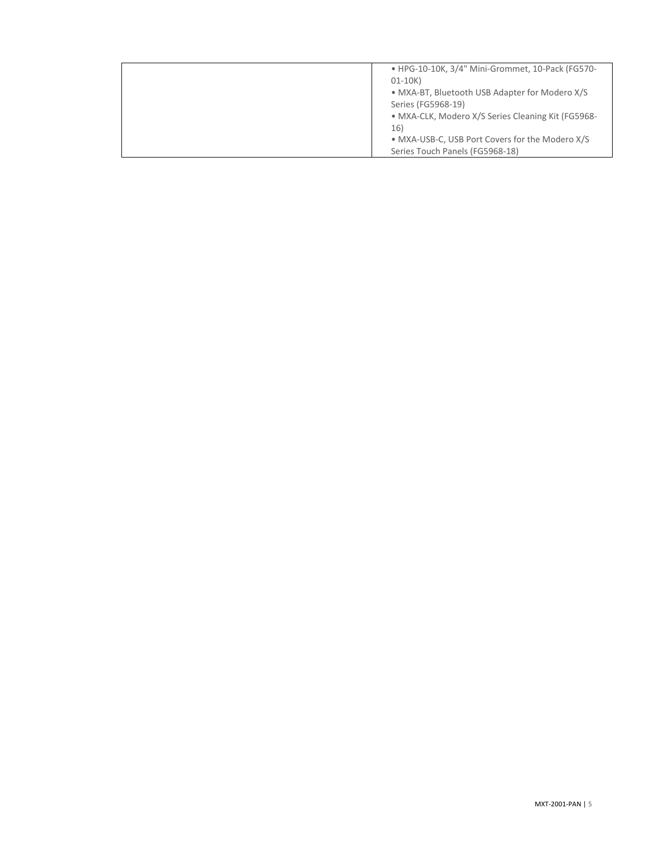| • HPG-10-10K, 3/4" Mini-Grommet, 10-Pack (FG570-   |
|----------------------------------------------------|
| $01-10K$                                           |
| • MXA-BT, Bluetooth USB Adapter for Modero X/S     |
| Series (FG5968-19)                                 |
| · MXA-CLK, Modero X/S Series Cleaning Kit (FG5968- |
| 16)                                                |
| • MXA-USB-C, USB Port Covers for the Modero X/S    |
| Series Touch Panels (FG5968-18)                    |